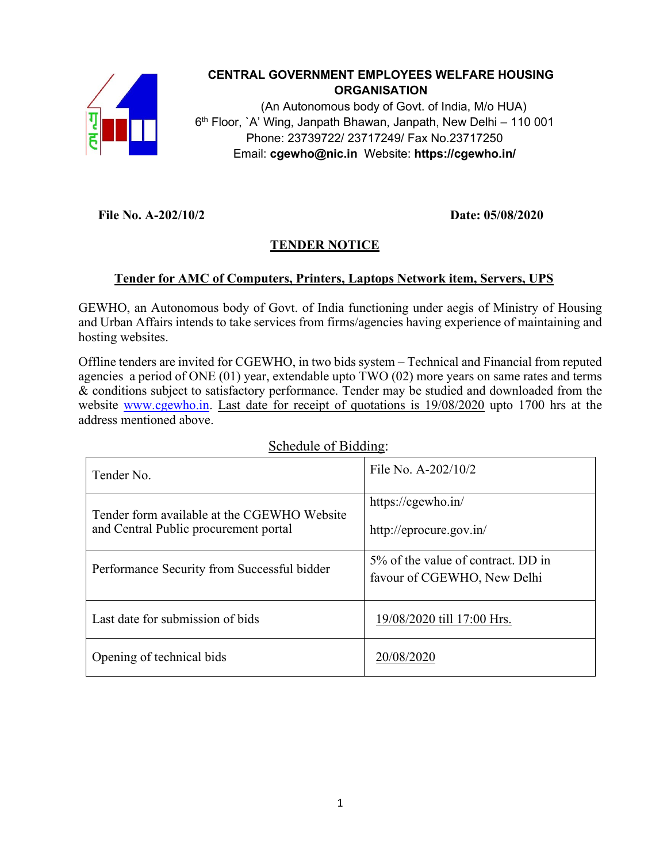

# **CENTRAL GOVERNMENT EMPLOYEES WELFARE HOUSING ORGANISATION**

(An Autonomous body of Govt. of India, M/o HUA) 6 th Floor, `A' Wing, Janpath Bhawan, Janpath, New Delhi – 110 001 Phone: 23739722/ 23717249/ Fax No.23717250 Email: **cgewho@nic.in** Website: **https://cgewho.in/**

 **File No. A-202/10/2 Date: 05/08/2020**

# **TENDER NOTICE**

# **Tender for AMC of Computers, Printers, Laptops Network item, Servers, UPS**

GEWHO, an Autonomous body of Govt. of India functioning under aegis of Ministry of Housing and Urban Affairs intends to take services from firms/agencies having experience of maintaining and hosting websites.

Offline tenders are invited for CGEWHO, in two bids system – Technical and Financial from reputed agencies a period of ONE (01) year, extendable upto TWO (02) more years on same rates and terms & conditions subject to satisfactory performance. Tender may be studied and downloaded from the website [www.cgewho.in.](http://www.cgewho.in/) Last date for receipt of quotations is 19/08/2020 upto 1700 hrs at the address mentioned above.

| Tender No.                                  | File No. A-202/10/2                   |
|---------------------------------------------|---------------------------------------|
| Tender form available at the CGEWHO Website | https://cgewho.in/                    |
| and Central Public procurement portal       | http://eprocure.gov.in/               |
| Performance Security from Successful bidder | $5\%$ of the value of contract. DD in |
|                                             | favour of CGEWHO, New Delhi           |
| Last date for submission of bids            | 19/08/2020 till 17:00 Hrs.            |
| Opening of technical bids                   | 20/08/2020                            |

### Schedule of Bidding: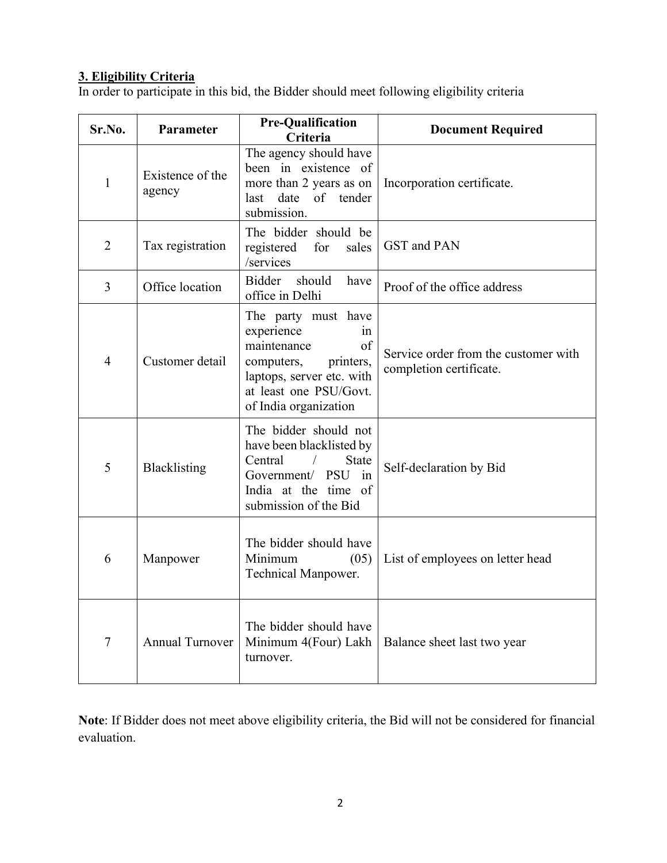#### **3. Eligibility Criteria**

In order to participate in this bid, the Bidder should meet following eligibility criteria

| Sr.No.         | Parameter                  | <b>Pre-Qualification</b><br>Criteria                                                                                                                                    | <b>Document Required</b>                                        |
|----------------|----------------------------|-------------------------------------------------------------------------------------------------------------------------------------------------------------------------|-----------------------------------------------------------------|
| $\mathbf{1}$   | Existence of the<br>agency | The agency should have<br>been in existence of<br>more than 2 years as on<br>date of tender<br>last<br>submission.                                                      | Incorporation certificate.                                      |
| $\overline{2}$ | Tax registration           | The bidder should be<br>for<br>sales<br>registered<br>/services                                                                                                         | <b>GST</b> and PAN                                              |
| 3              | Office location            | Bidder<br>should<br>have<br>office in Delhi                                                                                                                             | Proof of the office address                                     |
| $\overline{4}$ | Customer detail            | The party must have<br>experience<br>1n<br>of<br>maintenance<br>computers,<br>printers,<br>laptops, server etc. with<br>at least one PSU/Govt.<br>of India organization | Service order from the customer with<br>completion certificate. |
| 5              | Blacklisting               | The bidder should not<br>have been blacklisted by<br>Central<br><b>State</b><br>Government/ PSU in<br>India at the time of<br>submission of the Bid                     | Self-declaration by Bid                                         |
| 6              | Manpower                   | The bidder should have<br>Minimum<br>(05)<br>Technical Manpower.                                                                                                        | List of employees on letter head                                |
| $\overline{7}$ | <b>Annual Turnover</b>     | The bidder should have<br>Minimum 4(Four) Lakh<br>turnover.                                                                                                             | Balance sheet last two year                                     |

**Note**: If Bidder does not meet above eligibility criteria, the Bid will not be considered for financial evaluation.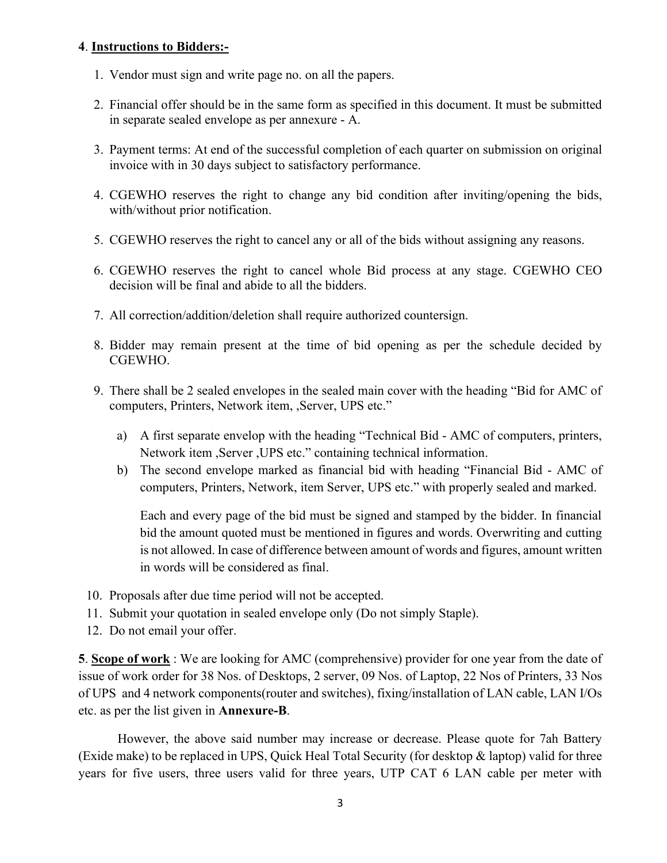#### **4**. **Instructions to Bidders:-**

- 1. Vendor must sign and write page no. on all the papers.
- 2. Financial offer should be in the same form as specified in this document. It must be submitted in separate sealed envelope as per annexure - A.
- 3. Payment terms: At end of the successful completion of each quarter on submission on original invoice with in 30 days subject to satisfactory performance.
- 4. CGEWHO reserves the right to change any bid condition after inviting/opening the bids, with/without prior notification.
- 5. CGEWHO reserves the right to cancel any or all of the bids without assigning any reasons.
- 6. CGEWHO reserves the right to cancel whole Bid process at any stage. CGEWHO CEO decision will be final and abide to all the bidders.
- 7. All correction/addition/deletion shall require authorized countersign.
- 8. Bidder may remain present at the time of bid opening as per the schedule decided by CGEWHO.
- 9. There shall be 2 sealed envelopes in the sealed main cover with the heading "Bid for AMC of computers, Printers, Network item, ,Server, UPS etc."
	- a) A first separate envelop with the heading "Technical Bid AMC of computers, printers, Network item ,Server ,UPS etc." containing technical information.
	- b) The second envelope marked as financial bid with heading "Financial Bid AMC of computers, Printers, Network, item Server, UPS etc." with properly sealed and marked.

Each and every page of the bid must be signed and stamped by the bidder. In financial bid the amount quoted must be mentioned in figures and words. Overwriting and cutting is not allowed. In case of difference between amount of words and figures, amount written in words will be considered as final.

- 10. Proposals after due time period will not be accepted.
- 11. Submit your quotation in sealed envelope only (Do not simply Staple).
- 12. Do not email your offer.

**5**. **Scope of work** : We are looking for AMC (comprehensive) provider for one year from the date of issue of work order for 38 Nos. of Desktops, 2 server, 09 Nos. of Laptop, 22 Nos of Printers, 33 Nos of UPS and 4 network components(router and switches), fixing/installation of LAN cable, LAN I/Os etc. as per the list given in **Annexure-B**.

However, the above said number may increase or decrease. Please quote for 7ah Battery (Exide make) to be replaced in UPS, Quick Heal Total Security (for desktop & laptop) valid for three years for five users, three users valid for three years, UTP CAT 6 LAN cable per meter with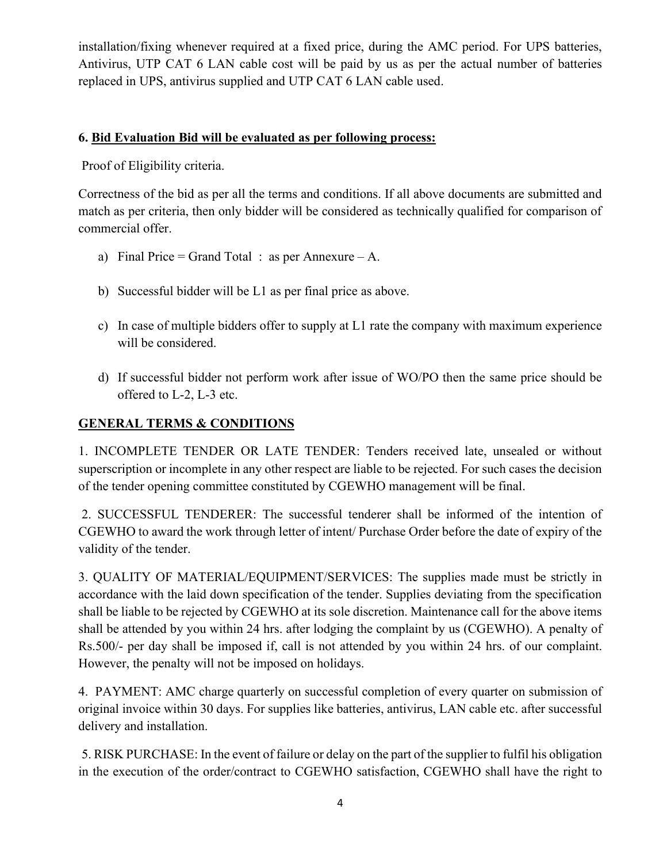installation/fixing whenever required at a fixed price, during the AMC period. For UPS batteries, Antivirus, UTP CAT 6 LAN cable cost will be paid by us as per the actual number of batteries replaced in UPS, antivirus supplied and UTP CAT 6 LAN cable used.

#### **6. Bid Evaluation Bid will be evaluated as per following process:**

Proof of Eligibility criteria.

Correctness of the bid as per all the terms and conditions. If all above documents are submitted and match as per criteria, then only bidder will be considered as technically qualified for comparison of commercial offer.

- a) Final Price = Grand Total : as per Annexure A.
- b) Successful bidder will be L1 as per final price as above.
- c) In case of multiple bidders offer to supply at L1 rate the company with maximum experience will be considered.
- d) If successful bidder not perform work after issue of WO/PO then the same price should be offered to L-2, L-3 etc.

# **GENERAL TERMS & CONDITIONS**

1. INCOMPLETE TENDER OR LATE TENDER: Tenders received late, unsealed or without superscription or incomplete in any other respect are liable to be rejected. For such cases the decision of the tender opening committee constituted by CGEWHO management will be final.

2. SUCCESSFUL TENDERER: The successful tenderer shall be informed of the intention of CGEWHO to award the work through letter of intent/ Purchase Order before the date of expiry of the validity of the tender.

3. QUALITY OF MATERIAL/EQUIPMENT/SERVICES: The supplies made must be strictly in accordance with the laid down specification of the tender. Supplies deviating from the specification shall be liable to be rejected by CGEWHO at its sole discretion. Maintenance call for the above items shall be attended by you within 24 hrs. after lodging the complaint by us (CGEWHO). A penalty of Rs.500/- per day shall be imposed if, call is not attended by you within 24 hrs. of our complaint. However, the penalty will not be imposed on holidays.

4. PAYMENT: AMC charge quarterly on successful completion of every quarter on submission of original invoice within 30 days. For supplies like batteries, antivirus, LAN cable etc. after successful delivery and installation.

5. RISK PURCHASE: In the event of failure or delay on the part of the supplier to fulfil his obligation in the execution of the order/contract to CGEWHO satisfaction, CGEWHO shall have the right to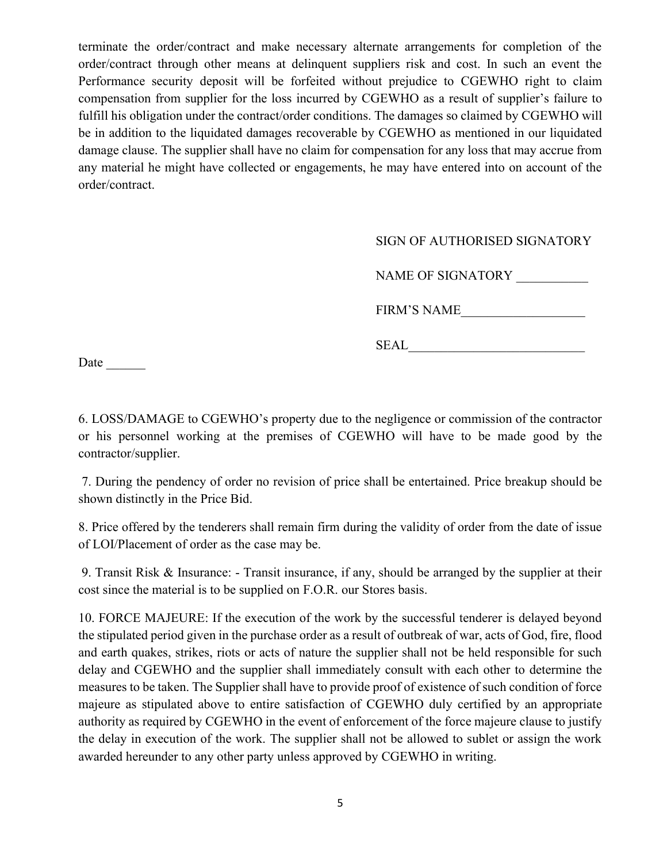terminate the order/contract and make necessary alternate arrangements for completion of the order/contract through other means at delinquent suppliers risk and cost. In such an event the Performance security deposit will be forfeited without prejudice to CGEWHO right to claim compensation from supplier for the loss incurred by CGEWHO as a result of supplier's failure to fulfill his obligation under the contract/order conditions. The damages so claimed by CGEWHO will be in addition to the liquidated damages recoverable by CGEWHO as mentioned in our liquidated damage clause. The supplier shall have no claim for compensation for any loss that may accrue from any material he might have collected or engagements, he may have entered into on account of the order/contract.

#### SIGN OF AUTHORISED SIGNATORY

NAME OF SIGNATORY \_\_\_\_\_\_\_\_\_\_\_

FIRM'S NAME

SEAL\_\_\_\_\_\_\_\_\_\_\_\_\_\_\_\_\_\_\_\_\_\_\_\_\_\_\_

Date

6. LOSS/DAMAGE to CGEWHO's property due to the negligence or commission of the contractor or his personnel working at the premises of CGEWHO will have to be made good by the contractor/supplier.

7. During the pendency of order no revision of price shall be entertained. Price breakup should be shown distinctly in the Price Bid.

8. Price offered by the tenderers shall remain firm during the validity of order from the date of issue of LOI/Placement of order as the case may be.

9. Transit Risk & Insurance: - Transit insurance, if any, should be arranged by the supplier at their cost since the material is to be supplied on F.O.R. our Stores basis.

10. FORCE MAJEURE: If the execution of the work by the successful tenderer is delayed beyond the stipulated period given in the purchase order as a result of outbreak of war, acts of God, fire, flood and earth quakes, strikes, riots or acts of nature the supplier shall not be held responsible for such delay and CGEWHO and the supplier shall immediately consult with each other to determine the measures to be taken. The Supplier shall have to provide proof of existence of such condition of force majeure as stipulated above to entire satisfaction of CGEWHO duly certified by an appropriate authority as required by CGEWHO in the event of enforcement of the force majeure clause to justify the delay in execution of the work. The supplier shall not be allowed to sublet or assign the work awarded hereunder to any other party unless approved by CGEWHO in writing.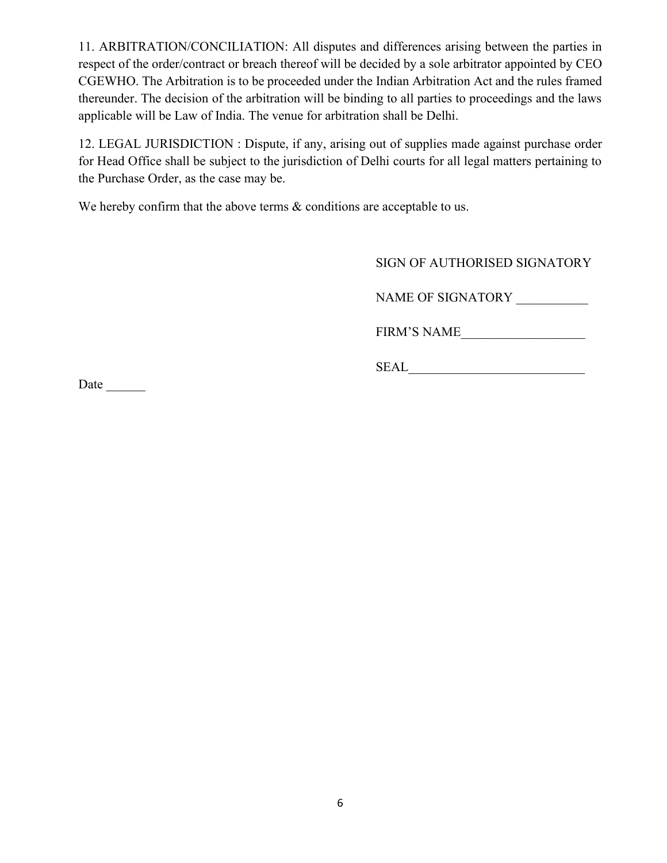11. ARBITRATION/CONCILIATION: All disputes and differences arising between the parties in respect of the order/contract or breach thereof will be decided by a sole arbitrator appointed by CEO CGEWHO. The Arbitration is to be proceeded under the Indian Arbitration Act and the rules framed thereunder. The decision of the arbitration will be binding to all parties to proceedings and the laws applicable will be Law of India. The venue for arbitration shall be Delhi.

12. LEGAL JURISDICTION : Dispute, if any, arising out of supplies made against purchase order for Head Office shall be subject to the jurisdiction of Delhi courts for all legal matters pertaining to the Purchase Order, as the case may be.

We hereby confirm that the above terms  $\&$  conditions are acceptable to us.

SIGN OF AUTHORISED SIGNATORY

NAME OF SIGNATORY \_\_\_\_\_\_\_\_\_\_\_

FIRM'S NAME\_\_\_\_\_\_\_\_\_\_\_\_\_\_\_\_\_\_\_

 $\underbrace{\text{SEAL}}\_$ 

Date  $\_\_$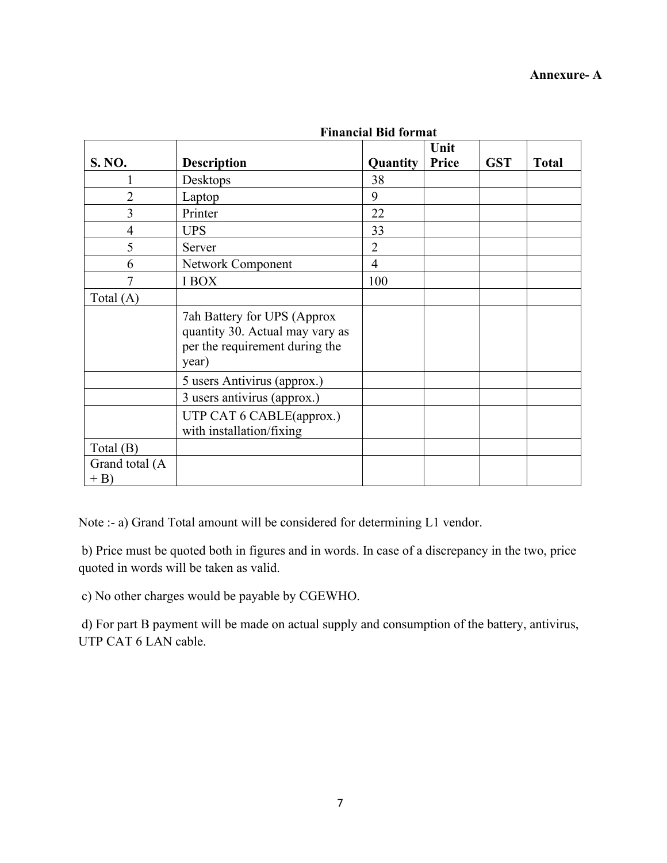|                         | т піансіаг тій тогтнас                                                                                    |                |                      |            |              |
|-------------------------|-----------------------------------------------------------------------------------------------------------|----------------|----------------------|------------|--------------|
| S. NO.                  | <b>Description</b>                                                                                        | Quantity       | Unit<br><b>Price</b> | <b>GST</b> | <b>Total</b> |
|                         | Desktops                                                                                                  | 38             |                      |            |              |
| $\overline{2}$          | Laptop                                                                                                    | 9              |                      |            |              |
| 3                       | Printer                                                                                                   | 22             |                      |            |              |
| 4                       | <b>UPS</b>                                                                                                | 33             |                      |            |              |
| 5                       | Server                                                                                                    | $\overline{2}$ |                      |            |              |
| 6                       | Network Component                                                                                         | $\overline{4}$ |                      |            |              |
|                         | <b>IBOX</b>                                                                                               | 100            |                      |            |              |
| Total $(A)$             |                                                                                                           |                |                      |            |              |
|                         | 7ah Battery for UPS (Approx<br>quantity 30. Actual may vary as<br>per the requirement during the<br>year) |                |                      |            |              |
|                         | 5 users Antivirus (approx.)                                                                               |                |                      |            |              |
|                         | 3 users antivirus (approx.)                                                                               |                |                      |            |              |
|                         | UTP CAT 6 CABLE(approx.)<br>with installation/fixing                                                      |                |                      |            |              |
| Total $(B)$             |                                                                                                           |                |                      |            |              |
| Grand total (A<br>$+ B$ |                                                                                                           |                |                      |            |              |

**Financial Bid format**

Note :- a) Grand Total amount will be considered for determining L1 vendor.

b) Price must be quoted both in figures and in words. In case of a discrepancy in the two, price quoted in words will be taken as valid.

c) No other charges would be payable by CGEWHO.

d) For part B payment will be made on actual supply and consumption of the battery, antivirus, UTP CAT 6 LAN cable.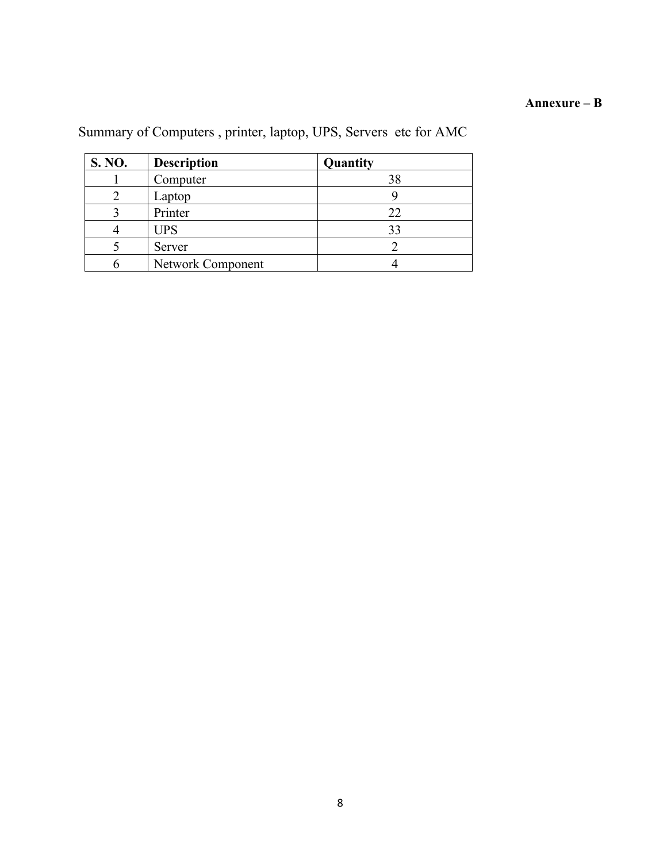#### **Annexure – B**

| S. NO. | <b>Description</b>       | Quantity |
|--------|--------------------------|----------|
|        | Computer                 | 38       |
|        | Laptop                   |          |
|        | Printer                  | 22       |
|        | <b>UPS</b>               | 33       |
|        | Server                   |          |
|        | <b>Network Component</b> |          |

# Summary of Computers , printer, laptop, UPS, Servers etc for AMC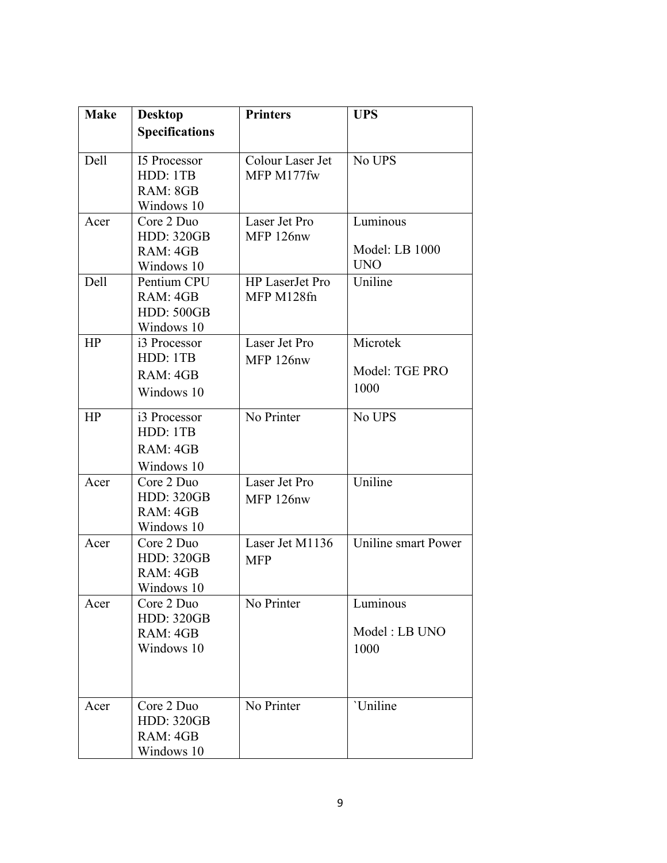| <b>Make</b> | <b>Desktop</b>                                             | <b>Printers</b>                      | <b>UPS</b>                               |
|-------------|------------------------------------------------------------|--------------------------------------|------------------------------------------|
|             | <b>Specifications</b>                                      |                                      |                                          |
| Dell        | <b>15 Processor</b><br>HDD: 1TB<br>RAM: 8GB<br>Windows 10  | Colour Laser Jet<br>MFP M177fw       | No UPS                                   |
| Acer        | Core 2 Duo<br><b>HDD: 320GB</b><br>RAM: 4GB<br>Windows 10  | Laser Jet Pro<br>MFP 126nw           | Luminous<br>Model: LB 1000<br><b>UNO</b> |
| Dell        | Pentium CPU<br>RAM: 4GB<br><b>HDD: 500GB</b><br>Windows 10 | <b>HP</b> LaserJet Pro<br>MFP M128fn | Uniline                                  |
| HP          | i3 Processor<br>HDD: 1TB<br>RAM: 4GB<br>Windows 10         | Laser Jet Pro<br>MFP 126nw           | Microtek<br>Model: TGE PRO<br>1000       |
| HP          | i3 Processor<br>HDD: 1TB<br>RAM: 4GB<br>Windows 10         | No Printer                           | No UPS                                   |
| Acer        | Core 2 Duo<br><b>HDD: 320GB</b><br>RAM: 4GB<br>Windows 10  | Laser Jet Pro<br>MFP 126nw           | Uniline                                  |
| Acer        | Core 2 Duo<br><b>HDD: 320GB</b><br>RAM: 4GB<br>Windows 10  | Laser Jet M1136<br><b>MFP</b>        | Uniline smart Power                      |
| Acer        | Core 2 Duo<br><b>HDD: 320GB</b><br>RAM: 4GB<br>Windows 10  | No Printer                           | Luminous<br>Model: LB UNO<br>1000        |
| Acer        | Core 2 Duo<br><b>HDD: 320GB</b><br>RAM: 4GB<br>Windows 10  | No Printer                           | 'Uniline                                 |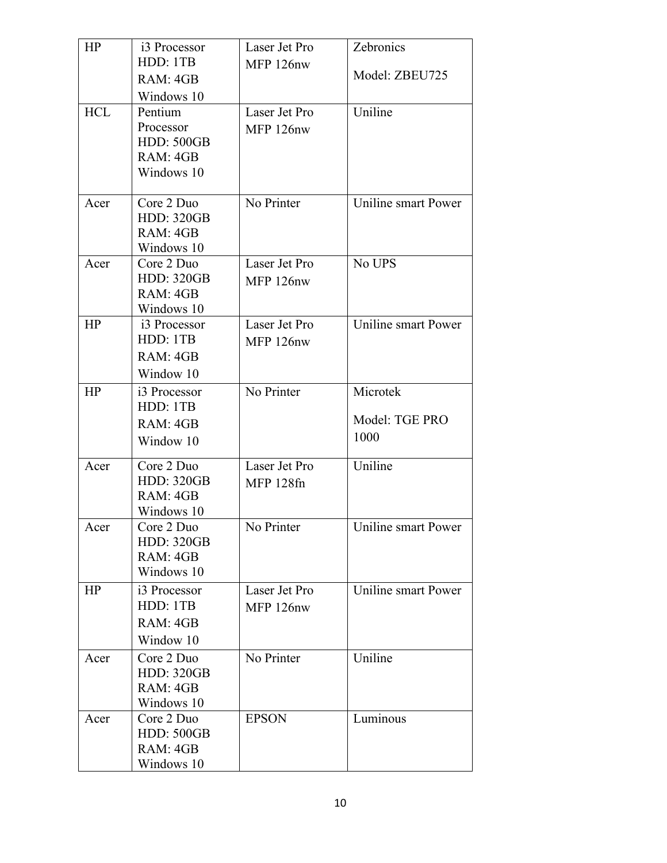| HP         | i3 Processor             | Laser Jet Pro    | Zebronics           |
|------------|--------------------------|------------------|---------------------|
|            | HDD: 1TB                 | MFP 126nw        |                     |
|            | RAM: 4GB                 |                  | Model: ZBEU725      |
|            | Windows 10               |                  |                     |
| <b>HCL</b> | Pentium                  | Laser Jet Pro    | Uniline             |
|            | Processor                | MFP 126nw        |                     |
|            | <b>HDD: 500GB</b>        |                  |                     |
|            | RAM: 4GB                 |                  |                     |
|            | Windows 10               |                  |                     |
| Acer       | Core 2 Duo               | No Printer       | Uniline smart Power |
|            | <b>HDD: 320GB</b>        |                  |                     |
|            | RAM: 4GB                 |                  |                     |
|            | Windows 10               |                  |                     |
| Acer       | Core 2 Duo               | Laser Jet Pro    | No UPS              |
|            | <b>HDD: 320GB</b>        | MFP 126nw        |                     |
|            | RAM: 4GB                 |                  |                     |
|            | Windows 10               | Laser Jet Pro    |                     |
| HP         | i3 Processor<br>HDD: 1TB |                  | Uniline smart Power |
|            |                          | MFP 126nw        |                     |
|            | RAM: 4GB                 |                  |                     |
|            | Window 10                |                  |                     |
| HP         | i3 Processor             | No Printer       | Microtek            |
|            | HDD: 1TB                 |                  | Model: TGE PRO      |
|            | RAM: 4GB                 |                  |                     |
|            | Window 10                |                  | 1000                |
| Acer       | Core 2 Duo               | Laser Jet Pro    | Uniline             |
|            | <b>HDD: 320GB</b>        | <b>MFP 128fn</b> |                     |
|            | RAM: 4GB                 |                  |                     |
|            | Windows 10               |                  |                     |
| Acer       | Core 2 Duo               | No Printer       | Uniline smart Power |
|            | <b>HDD: 320GB</b>        |                  |                     |
|            | RAM: 4GB<br>Windows 10   |                  |                     |
|            |                          |                  |                     |
| HP         | i3 Processor             | Laser Jet Pro    | Uniline smart Power |
|            | HDD: 1TB                 | MFP 126nw        |                     |
|            | RAM: 4GB                 |                  |                     |
|            | Window 10                |                  |                     |
| Acer       | Core 2 Duo               | No Printer       | Uniline             |
|            | <b>HDD: 320GB</b>        |                  |                     |
|            | RAM: 4GB                 |                  |                     |
|            | Windows 10               |                  |                     |
| Acer       | Core 2 Duo               | <b>EPSON</b>     | Luminous            |
|            | <b>HDD: 500GB</b>        |                  |                     |
|            | RAM: 4GB<br>Windows 10   |                  |                     |
|            |                          |                  |                     |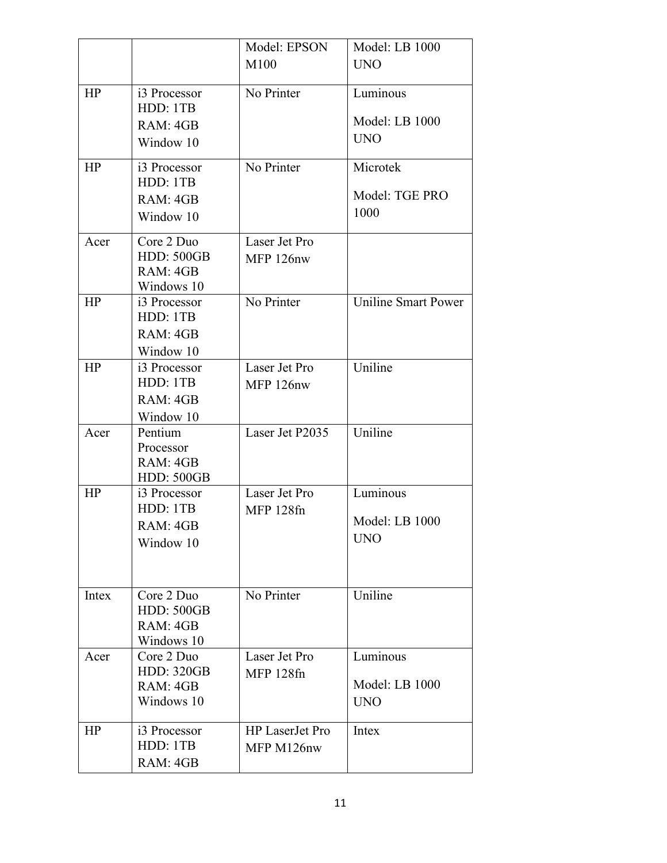|       |                                 | Model: EPSON           | Model: LB 1000             |
|-------|---------------------------------|------------------------|----------------------------|
|       |                                 | M100                   | <b>UNO</b>                 |
|       |                                 |                        |                            |
| HP    | i3 Processor<br>HDD: 1TB        | No Printer             | Luminous                   |
|       | RAM: 4GB                        |                        | Model: LB 1000             |
|       |                                 |                        | <b>UNO</b>                 |
|       | Window 10                       |                        |                            |
| HP    | i3 Processor                    | No Printer             | Microtek                   |
|       | HDD: 1TB                        |                        |                            |
|       | RAM: 4GB                        |                        | Model: TGE PRO             |
|       | Window 10                       |                        | 1000                       |
| Acer  | Core 2 Duo                      | Laser Jet Pro          |                            |
|       | <b>HDD: 500GB</b>               | MFP 126nw              |                            |
|       | RAM: 4GB                        |                        |                            |
|       | Windows 10                      |                        |                            |
| HP    | i3 Processor                    | No Printer             | <b>Uniline Smart Power</b> |
|       | HDD: 1TB                        |                        |                            |
|       | RAM: 4GB                        |                        |                            |
| HP    | Window 10                       | Laser Jet Pro          | Uniline                    |
|       | i3 Processor<br>HDD: 1TB        |                        |                            |
|       | RAM: 4GB                        | MFP 126nw              |                            |
|       | Window 10                       |                        |                            |
| Acer  | Pentium                         | Laser Jet P2035        | Uniline                    |
|       | Processor                       |                        |                            |
|       | RAM: 4GB                        |                        |                            |
|       | <b>HDD: 500GB</b>               |                        |                            |
| HP    | i3 Processor                    | Laser Jet Pro          | Luminous                   |
|       | HDD: 1TB                        | <b>MFP 128fn</b>       |                            |
|       | RAM: 4GB                        |                        | Model: LB 1000             |
|       | Window 10                       |                        | <b>UNO</b>                 |
|       |                                 |                        |                            |
|       |                                 |                        |                            |
| Intex | Core 2 Duo                      | No Printer             | Uniline                    |
|       | <b>HDD: 500GB</b>               |                        |                            |
|       | RAM: 4GB                        |                        |                            |
|       | Windows 10                      |                        |                            |
| Acer  | Core 2 Duo<br><b>HDD: 320GB</b> | Laser Jet Pro          | Luminous                   |
|       | RAM: 4GB                        | <b>MFP 128fn</b>       | Model: LB 1000             |
|       | Windows 10                      |                        | <b>UNO</b>                 |
|       |                                 |                        |                            |
| HP    | i3 Processor                    | <b>HP</b> LaserJet Pro | Intex                      |
|       | HDD: 1TB                        | MFP M126nw             |                            |
|       | RAM: 4GB                        |                        |                            |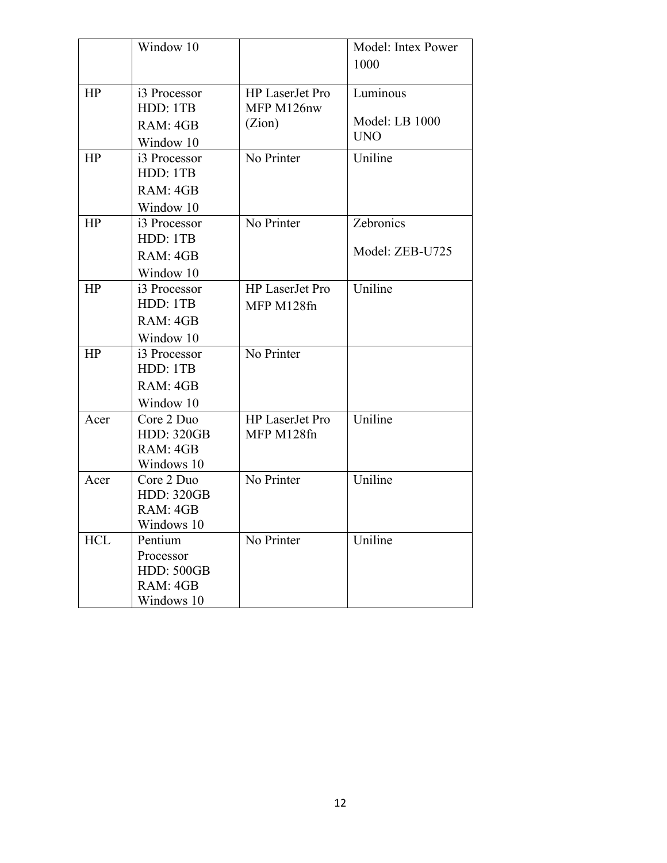|            | Window 10                                                           |                                                | Model: Intex Power<br>1000               |
|------------|---------------------------------------------------------------------|------------------------------------------------|------------------------------------------|
| HP         | i3 Processor<br>HDD: 1TB<br>RAM: 4GB<br>Window 10                   | <b>HP</b> LaserJet Pro<br>MFP M126nw<br>(Zion) | Luminous<br>Model: LB 1000<br><b>UNO</b> |
| HP         | i3 Processor<br>HDD: 1TB<br>RAM: 4GB<br>Window 10                   | No Printer                                     | Uniline                                  |
| HP         | i3 Processor<br>HDD: 1TB<br>RAM: 4GB<br>Window 10                   | No Printer                                     | Zebronics<br>Model: ZEB-U725             |
| HP         | i3 Processor<br>HDD: 1TB<br>RAM: 4GB<br>Window 10                   | HP LaserJet Pro<br>MFP M128fn                  | Uniline                                  |
| HP         | i3 Processor<br>HDD: 1TB<br>RAM: 4GB<br>Window 10                   | No Printer                                     |                                          |
| Acer       | Core 2 Duo<br><b>HDD: 320GB</b><br>RAM: 4GB<br>Windows 10           | HP LaserJet Pro<br>MFP M128fn                  | Uniline                                  |
| Acer       | Core 2 Duo<br><b>HDD: 320GB</b><br>RAM: 4GB<br>Windows 10           | No Printer                                     | Uniline                                  |
| <b>HCL</b> | Pentium<br>Processor<br><b>HDD: 500GB</b><br>RAM: 4GB<br>Windows 10 | No Printer                                     | Uniline                                  |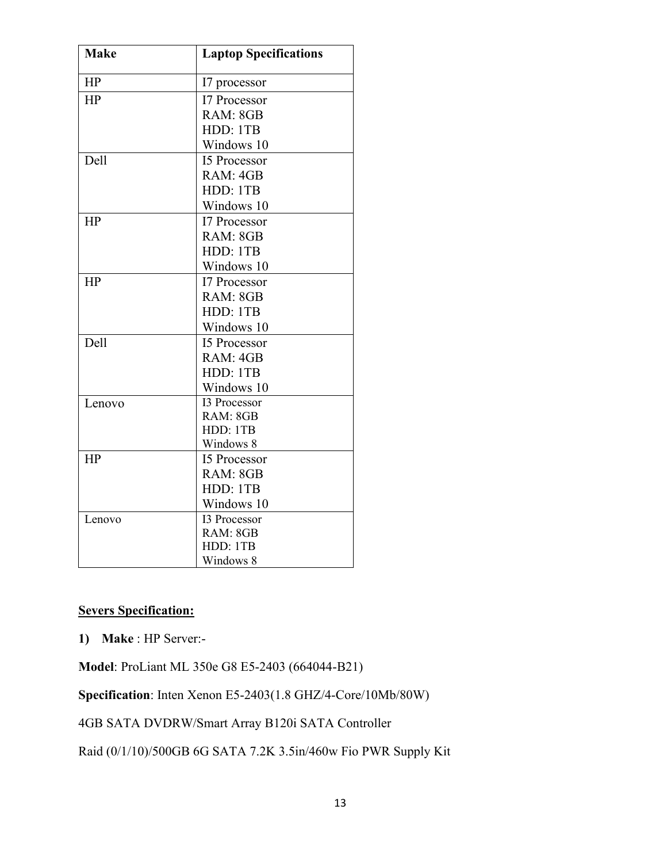| <b>Make</b> | <b>Laptop Specifications</b> |
|-------------|------------------------------|
| HP          | I7 processor                 |
| HP          | <b>I7 Processor</b>          |
|             | RAM: 8GB                     |
|             | HDD: 1TB                     |
|             | Windows 10                   |
| Dell        | <b>15 Processor</b>          |
|             | RAM: 4GB                     |
|             | HDD: 1TB                     |
|             | Windows 10                   |
| HP          | I7 Processor                 |
|             | RAM: 8GB                     |
|             | HDD: 1TB                     |
|             | Windows 10                   |
| HP          | <b>I7 Processor</b>          |
|             | RAM: 8GB                     |
|             | HDD: 1TB                     |
|             | Windows 10                   |
| Dell        | <b>15 Processor</b>          |
|             | RAM: 4GB                     |
|             | HDD: 1TB                     |
|             | Windows 10                   |
| Lenovo      | <b>I3 Processor</b>          |
|             | RAM: 8GB                     |
|             | HDD: 1TB                     |
|             | Windows 8                    |
| HP          | <b>15 Processor</b>          |
|             | RAM: 8GB                     |
|             | HDD: 1TB                     |
|             | Windows 10                   |
| Lenovo      | <b>I3 Processor</b>          |
|             | RAM: 8GB                     |
|             | HDD: 1TB                     |
|             | Windows 8                    |

#### **Severs Specification:**

**1) Make** : HP Server:-

**Model**: ProLiant ML 350e G8 E5-2403 (664044-B21)

**Specification**: Inten Xenon E5-2403(1.8 GHZ/4-Core/10Mb/80W)

4GB SATA DVDRW/Smart Array B120i SATA Controller

Raid (0/1/10)/500GB 6G SATA 7.2K 3.5in/460w Fio PWR Supply Kit